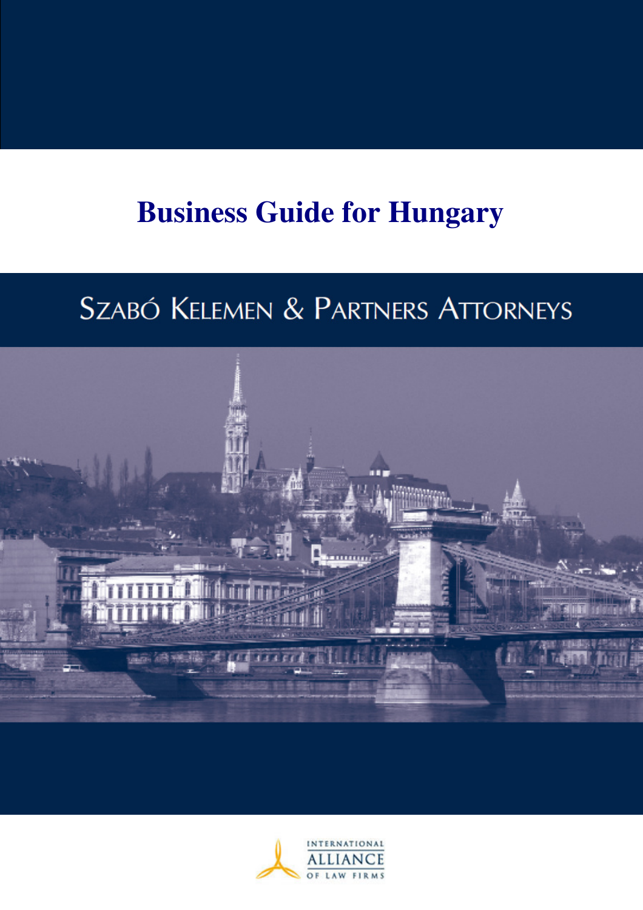# **Business Guide for Hungary**

# SZABÓ KELEMEN & PARTNERS ATTORNEYS



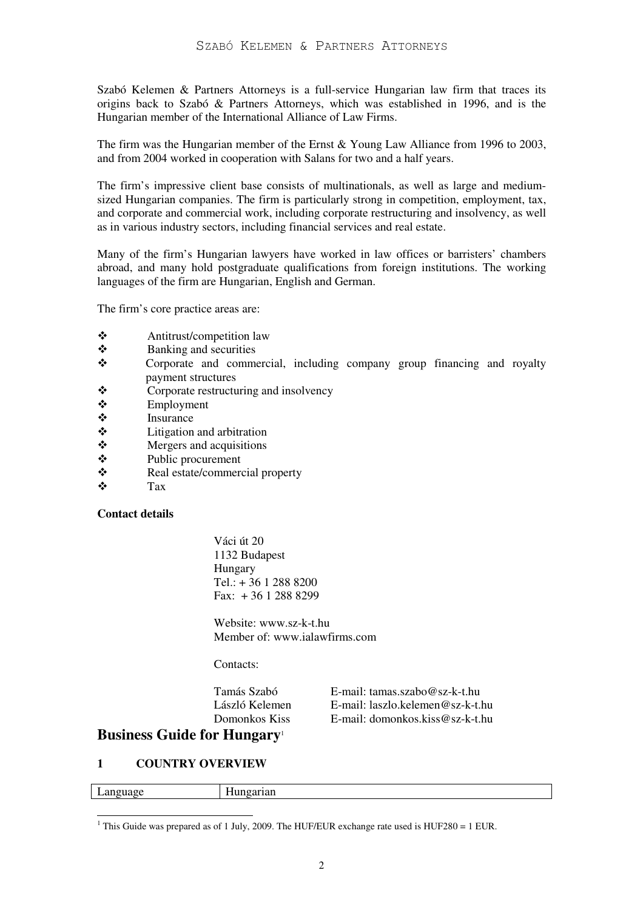Szabó Kelemen & Partners Attorneys is a full-service Hungarian law firm that traces its origins back to Szabó & Partners Attorneys, which was established in 1996, and is the Hungarian member of the International Alliance of Law Firms.

The firm was the Hungarian member of the Ernst & Young Law Alliance from 1996 to 2003, and from 2004 worked in cooperation with Salans for two and a half years.

The firm's impressive client base consists of multinationals, as well as large and mediumsized Hungarian companies. The firm is particularly strong in competition, employment, tax, and corporate and commercial work, including corporate restructuring and insolvency, as well as in various industry sectors, including financial services and real estate.

Many of the firm's Hungarian lawyers have worked in law offices or barristers' chambers abroad, and many hold postgraduate qualifications from foreign institutions. The working languages of the firm are Hungarian, English and German.

The firm's core practice areas are:

- Antitrust/competition law
- $\bullet$  Banking and securities
- Corporate and commercial, including company group financing and royalty payment structures
- Corporate restructuring and insolvency
- $\div$  Employment
- $\mathbf{\hat{\cdot}}$  Insurance
- $\ddot{\bullet}$  Litigation and arbitration<br>
Mergers and acquisitions
- Mergers and acquisitions
- Public procurement
- Real estate/commercial property
- $\mathbf{\hat{\cdot}}$  Tax

#### **Contact details**

Váci út 20 1132 Budapest Hungary  $Tel: + 3612888200$  $Fax + 3612888299$ 

Website: www.sz-k-t.hu Member of: www jalawfirms.com

Contacts:

| Tamás Szabó    | E-mail: tamas.szabo@sz-k-t.hu    |
|----------------|----------------------------------|
| László Kelemen | E-mail: laszlo.kelemen@sz-k-t.hu |
| Domonkos Kiss  | E-mail: domonkos.kiss@sz-k-t.hu  |

# **Business Guide for Hungary**<sup>1</sup>

## **1 COUNTRY OVERVIEW**

|         | $- -$ |
|---------|-------|
| ,,,,,,, | --    |
| $-$     | .     |
|         |       |

<sup>&</sup>lt;sup>1</sup> This Guide was prepared as of 1 July, 2009. The HUF/EUR exchange rate used is HUF280 = 1 EUR.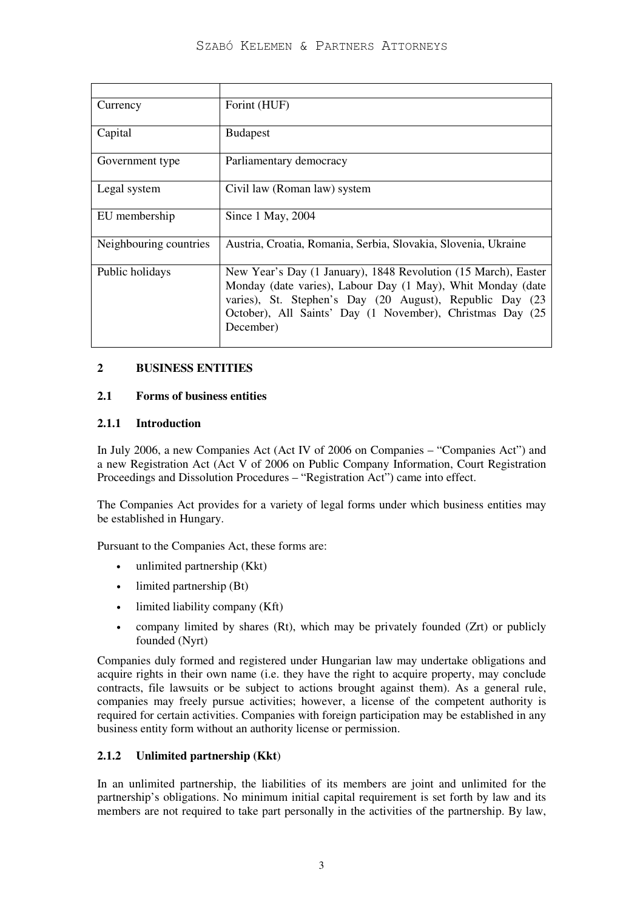| Currency               | Forint (HUF)                                                                                                                                                                                                                                                        |
|------------------------|---------------------------------------------------------------------------------------------------------------------------------------------------------------------------------------------------------------------------------------------------------------------|
| Capital                | <b>Budapest</b>                                                                                                                                                                                                                                                     |
| Government type        | Parliamentary democracy                                                                                                                                                                                                                                             |
| Legal system           | Civil law (Roman law) system                                                                                                                                                                                                                                        |
| EU membership          | Since 1 May, 2004                                                                                                                                                                                                                                                   |
| Neighbouring countries | Austria, Croatia, Romania, Serbia, Slovakia, Slovenia, Ukraine                                                                                                                                                                                                      |
| Public holidays        | New Year's Day (1 January), 1848 Revolution (15 March), Easter<br>Monday (date varies), Labour Day (1 May), Whit Monday (date<br>varies), St. Stephen's Day (20 August), Republic Day (23<br>October), All Saints' Day (1 November), Christmas Day (25<br>December) |

## **2 BUSINESS ENTITIES**

#### **2.1 Forms of business entities**

#### **2.1.1 Introduction**

In July 2006, a new Companies Act (Act IV of 2006 on Companies – "Companies Act") and a new Registration Act (Act V of 2006 on Public Company Information, Court Registration Proceedings and Dissolution Procedures – "Registration Act") came into effect.

The Companies Act provides for a variety of legal forms under which business entities may be established in Hungary.

Pursuant to the Companies Act, these forms are:

- unlimited partnership (Kkt)
- limited partnership (Bt)
- limited liability company (Kft)
- company limited by shares (Rt), which may be privately founded (Zrt) or publicly founded (Nyrt)

Companies duly formed and registered under Hungarian law may undertake obligations and acquire rights in their own name (i.e. they have the right to acquire property, may conclude contracts, file lawsuits or be subject to actions brought against them). As a general rule, companies may freely pursue activities; however, a license of the competent authority is required for certain activities. Companies with foreign participation may be established in any business entity form without an authority license or permission.

## **2.1.2 Unlimited partnership (Kkt**)

In an unlimited partnership, the liabilities of its members are joint and unlimited for the partnership's obligations. No minimum initial capital requirement is set forth by law and its members are not required to take part personally in the activities of the partnership. By law,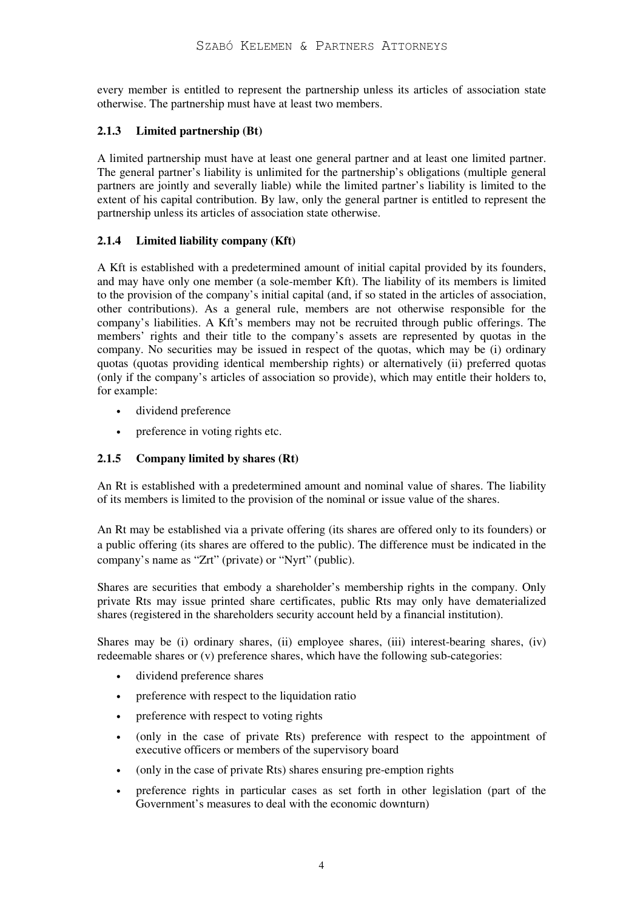every member is entitled to represent the partnership unless its articles of association state otherwise. The partnership must have at least two members.

## **2.1.3 Limited partnership (Bt)**

A limited partnership must have at least one general partner and at least one limited partner. The general partner's liability is unlimited for the partnership's obligations (multiple general partners are jointly and severally liable) while the limited partner's liability is limited to the extent of his capital contribution. By law, only the general partner is entitled to represent the partnership unless its articles of association state otherwise.

## **2.1.4 Limited liability company (Kft)**

A Kft is established with a predetermined amount of initial capital provided by its founders, and may have only one member (a sole-member Kft). The liability of its members is limited to the provision of the company's initial capital (and, if so stated in the articles of association, other contributions). As a general rule, members are not otherwise responsible for the company's liabilities. A Kft's members may not be recruited through public offerings. The members' rights and their title to the company's assets are represented by quotas in the company. No securities may be issued in respect of the quotas, which may be (i) ordinary quotas (quotas providing identical membership rights) or alternatively (ii) preferred quotas (only if the company's articles of association so provide), which may entitle their holders to, for example:

- dividend preference
- preference in voting rights etc.

# **2.1.5 Company limited by shares (Rt)**

An Rt is established with a predetermined amount and nominal value of shares. The liability of its members is limited to the provision of the nominal or issue value of the shares.

An Rt may be established via a private offering (its shares are offered only to its founders) or a public offering (its shares are offered to the public). The difference must be indicated in the company's name as "Zrt" (private) or "Nyrt" (public).

Shares are securities that embody a shareholder's membership rights in the company. Only private Rts may issue printed share certificates, public Rts may only have dematerialized shares (registered in the shareholders security account held by a financial institution).

Shares may be (i) ordinary shares, (ii) employee shares, (iii) interest-bearing shares, (iv) redeemable shares or (v) preference shares, which have the following sub-categories:

- dividend preference shares
- preference with respect to the liquidation ratio
- preference with respect to voting rights
- (only in the case of private Rts) preference with respect to the appointment of executive officers or members of the supervisory board
- (only in the case of private Rts) shares ensuring pre-emption rights
- preference rights in particular cases as set forth in other legislation (part of the Government's measures to deal with the economic downturn)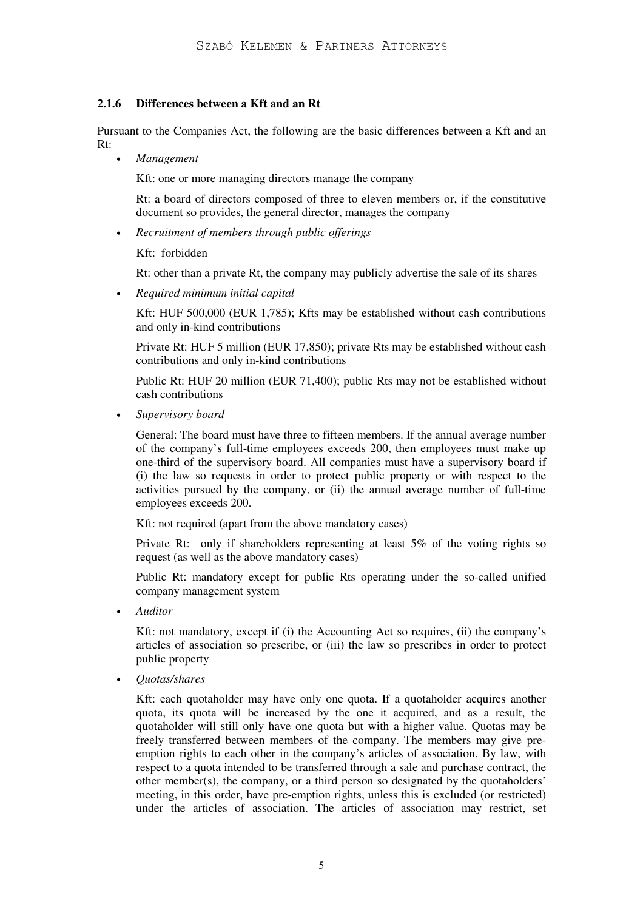#### **2.1.6 Differences between a Kft and an Rt**

Pursuant to the Companies Act, the following are the basic differences between a Kft and an Rt:

• *Management* 

Kft: one or more managing directors manage the company

Rt: a board of directors composed of three to eleven members or, if the constitutive document so provides, the general director, manages the company

• *Recruitment of members through public offerings* 

#### Kft: forbidden

Rt: other than a private Rt, the company may publicly advertise the sale of its shares

• *Required minimum initial capital* 

 Kft: HUF 500,000 (EUR 1,785); Kfts may be established without cash contributions and only in-kind contributions

Private Rt: HUF 5 million (EUR 17,850); private Rts may be established without cash contributions and only in-kind contributions

Public Rt: HUF 20 million (EUR 71,400); public Rts may not be established without cash contributions

• *Supervisory board* 

General: The board must have three to fifteen members. If the annual average number of the company's full-time employees exceeds 200, then employees must make up one-third of the supervisory board. All companies must have a supervisory board if (i) the law so requests in order to protect public property or with respect to the activities pursued by the company, or (ii) the annual average number of full-time employees exceeds 200.

Kft: not required (apart from the above mandatory cases)

Private Rt: only if shareholders representing at least 5% of the voting rights so request (as well as the above mandatory cases)

Public Rt: mandatory except for public Rts operating under the so-called unified company management system

• *Auditor* 

Kft: not mandatory, except if (i) the Accounting Act so requires, (ii) the company's articles of association so prescribe, or (iii) the law so prescribes in order to protect public property

• *Quotas/shares* 

Kft: each quotaholder may have only one quota. If a quotaholder acquires another quota, its quota will be increased by the one it acquired, and as a result, the quotaholder will still only have one quota but with a higher value. Quotas may be freely transferred between members of the company. The members may give preemption rights to each other in the company's articles of association. By law, with respect to a quota intended to be transferred through a sale and purchase contract, the other member(s), the company, or a third person so designated by the quotaholders' meeting, in this order, have pre-emption rights, unless this is excluded (or restricted) under the articles of association. The articles of association may restrict, set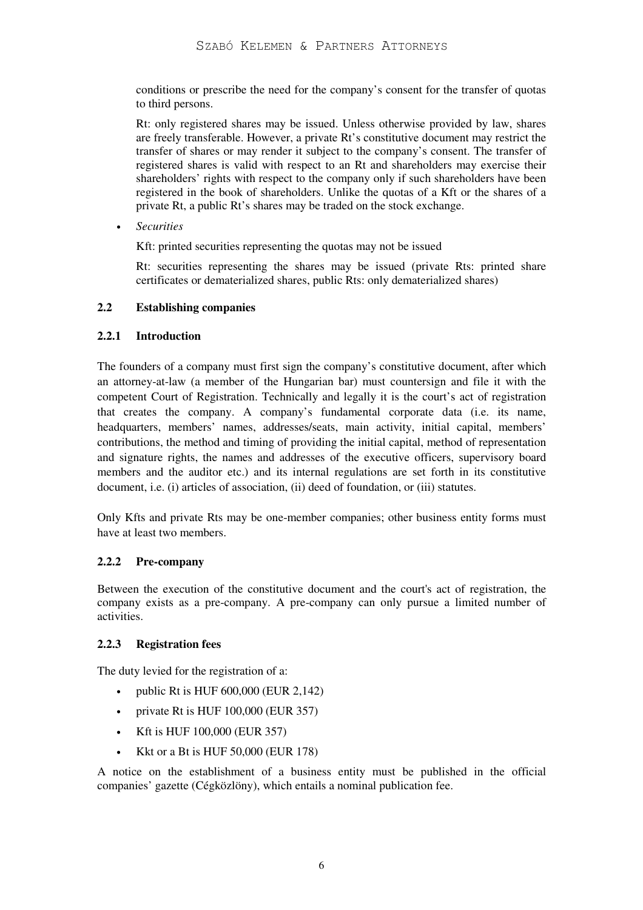conditions or prescribe the need for the company's consent for the transfer of quotas to third persons.

Rt: only registered shares may be issued. Unless otherwise provided by law, shares are freely transferable. However, a private Rt's constitutive document may restrict the transfer of shares or may render it subject to the company's consent. The transfer of registered shares is valid with respect to an Rt and shareholders may exercise their shareholders' rights with respect to the company only if such shareholders have been registered in the book of shareholders. Unlike the quotas of a Kft or the shares of a private Rt, a public Rt's shares may be traded on the stock exchange.

• *Securities* 

Kft: printed securities representing the quotas may not be issued

Rt: securities representing the shares may be issued (private Rts: printed share certificates or dematerialized shares, public Rts: only dematerialized shares)

#### **2.2 Establishing companies**

#### **2.2.1 Introduction**

The founders of a company must first sign the company's constitutive document, after which an attorney-at-law (a member of the Hungarian bar) must countersign and file it with the competent Court of Registration. Technically and legally it is the court's act of registration that creates the company. A company's fundamental corporate data (i.e. its name, headquarters, members' names, addresses/seats, main activity, initial capital, members' contributions, the method and timing of providing the initial capital, method of representation and signature rights, the names and addresses of the executive officers, supervisory board members and the auditor etc.) and its internal regulations are set forth in its constitutive document, i.e. (i) articles of association, (ii) deed of foundation, or (iii) statutes.

Only Kfts and private Rts may be one-member companies; other business entity forms must have at least two members.

## **2.2.2 Pre-company**

Between the execution of the constitutive document and the court's act of registration, the company exists as a pre-company. A pre-company can only pursue a limited number of activities.

## **2.2.3 Registration fees**

The duty levied for the registration of a:

- public Rt is HUF 600,000 (EUR 2,142)
- private Rt is HUF 100,000 (EUR 357)
- Kft is HUF 100,000 (EUR 357)
- Kkt or a Bt is HUF 50,000 (EUR 178)

A notice on the establishment of a business entity must be published in the official companies' gazette (Cégközlöny), which entails a nominal publication fee.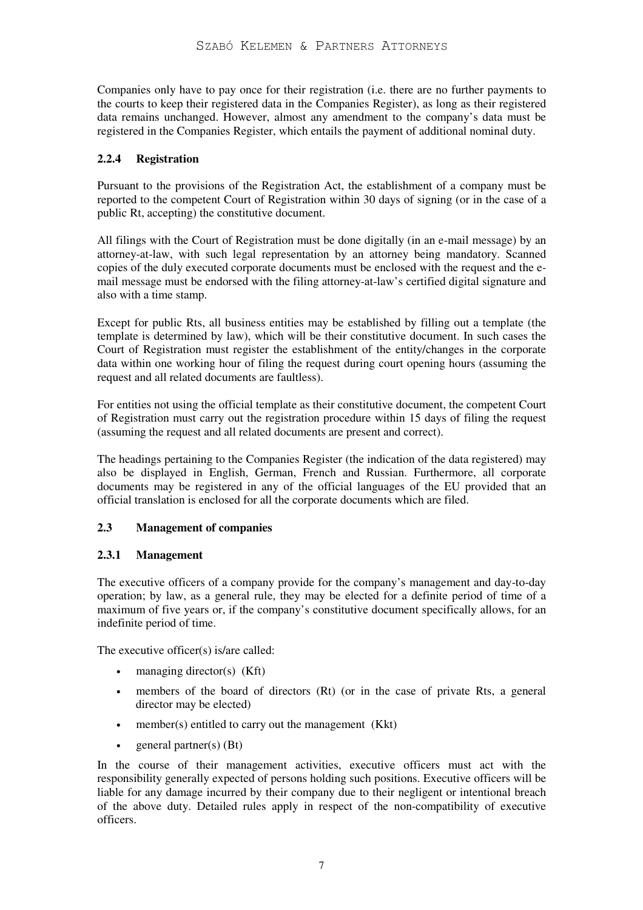Companies only have to pay once for their registration (i.e. there are no further payments to the courts to keep their registered data in the Companies Register), as long as their registered data remains unchanged. However, almost any amendment to the company's data must be registered in the Companies Register, which entails the payment of additional nominal duty.

## **2.2.4 Registration**

Pursuant to the provisions of the Registration Act, the establishment of a company must be reported to the competent Court of Registration within 30 days of signing (or in the case of a public Rt, accepting) the constitutive document.

All filings with the Court of Registration must be done digitally (in an e-mail message) by an attorney-at-law, with such legal representation by an attorney being mandatory. Scanned copies of the duly executed corporate documents must be enclosed with the request and the email message must be endorsed with the filing attorney-at-law's certified digital signature and also with a time stamp.

Except for public Rts, all business entities may be established by filling out a template (the template is determined by law), which will be their constitutive document. In such cases the Court of Registration must register the establishment of the entity/changes in the corporate data within one working hour of filing the request during court opening hours (assuming the request and all related documents are faultless).

For entities not using the official template as their constitutive document, the competent Court of Registration must carry out the registration procedure within 15 days of filing the request (assuming the request and all related documents are present and correct).

The headings pertaining to the Companies Register (the indication of the data registered) may also be displayed in English, German, French and Russian. Furthermore, all corporate documents may be registered in any of the official languages of the EU provided that an official translation is enclosed for all the corporate documents which are filed.

## **2.3 Management of companies**

## **2.3.1 Management**

The executive officers of a company provide for the company's management and day-to-day operation; by law, as a general rule, they may be elected for a definite period of time of a maximum of five years or, if the company's constitutive document specifically allows, for an indefinite period of time.

The executive officer(s) is/are called:

- managing director(s)  $(Kft)$
- members of the board of directors (Rt) (or in the case of private Rts, a general director may be elected)
- member(s) entitled to carry out the management (Kkt)
- general partner(s) (Bt)

In the course of their management activities, executive officers must act with the responsibility generally expected of persons holding such positions. Executive officers will be liable for any damage incurred by their company due to their negligent or intentional breach of the above duty. Detailed rules apply in respect of the non-compatibility of executive officers.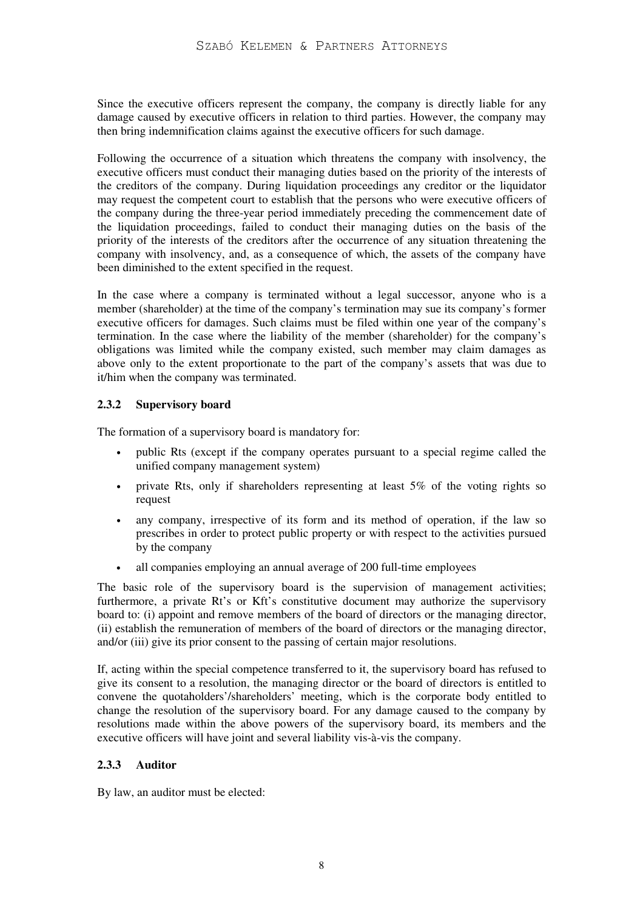Since the executive officers represent the company, the company is directly liable for any damage caused by executive officers in relation to third parties. However, the company may then bring indemnification claims against the executive officers for such damage.

Following the occurrence of a situation which threatens the company with insolvency, the executive officers must conduct their managing duties based on the priority of the interests of the creditors of the company. During liquidation proceedings any creditor or the liquidator may request the competent court to establish that the persons who were executive officers of the company during the three-year period immediately preceding the commencement date of the liquidation proceedings, failed to conduct their managing duties on the basis of the priority of the interests of the creditors after the occurrence of any situation threatening the company with insolvency, and, as a consequence of which, the assets of the company have been diminished to the extent specified in the request.

In the case where a company is terminated without a legal successor, anyone who is a member (shareholder) at the time of the company's termination may sue its company's former executive officers for damages. Such claims must be filed within one year of the company's termination. In the case where the liability of the member (shareholder) for the company's obligations was limited while the company existed, such member may claim damages as above only to the extent proportionate to the part of the company's assets that was due to it/him when the company was terminated.

## **2.3.2 Supervisory board**

The formation of a supervisory board is mandatory for:

- public Rts (except if the company operates pursuant to a special regime called the unified company management system)
- private Rts, only if shareholders representing at least 5% of the voting rights so request
- any company, irrespective of its form and its method of operation, if the law so prescribes in order to protect public property or with respect to the activities pursued by the company
- all companies employing an annual average of 200 full-time employees

The basic role of the supervisory board is the supervision of management activities; furthermore, a private Rt's or Kft's constitutive document may authorize the supervisory board to: (i) appoint and remove members of the board of directors or the managing director, (ii) establish the remuneration of members of the board of directors or the managing director, and/or (iii) give its prior consent to the passing of certain major resolutions.

If, acting within the special competence transferred to it, the supervisory board has refused to give its consent to a resolution, the managing director or the board of directors is entitled to convene the quotaholders'/shareholders' meeting, which is the corporate body entitled to change the resolution of the supervisory board. For any damage caused to the company by resolutions made within the above powers of the supervisory board, its members and the executive officers will have joint and several liability vis-à-vis the company.

## **2.3.3 Auditor**

By law, an auditor must be elected: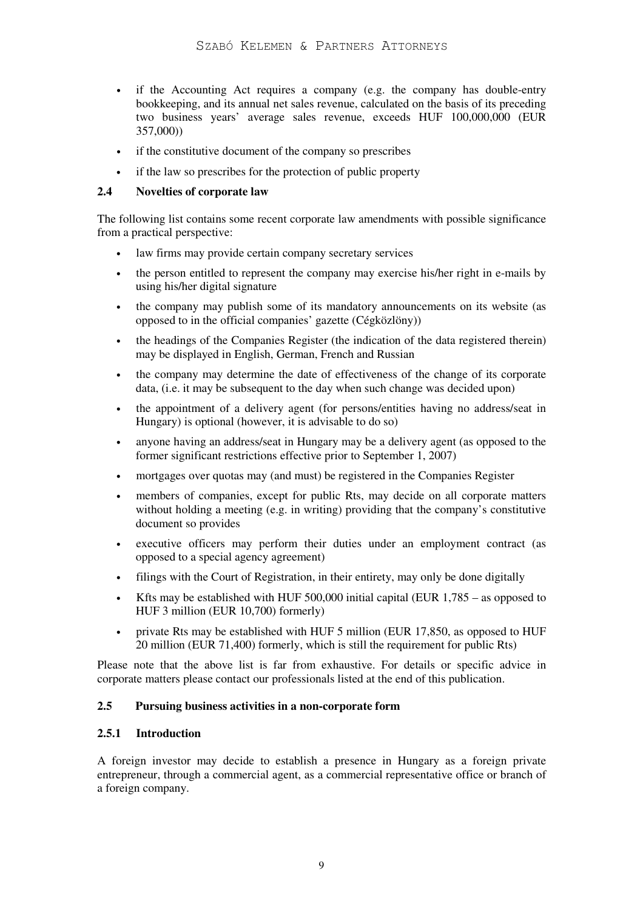- if the Accounting Act requires a company (e.g. the company has double-entry bookkeeping, and its annual net sales revenue, calculated on the basis of its preceding two business years' average sales revenue, exceeds HUF 100,000,000 (EUR 357,000))
- if the constitutive document of the company so prescribes
- if the law so prescribes for the protection of public property

#### **2.4 Novelties of corporate law**

The following list contains some recent corporate law amendments with possible significance from a practical perspective:

- law firms may provide certain company secretary services
- the person entitled to represent the company may exercise his/her right in e-mails by using his/her digital signature
- the company may publish some of its mandatory announcements on its website (as opposed to in the official companies' gazette (Cégközlöny))
- the headings of the Companies Register (the indication of the data registered therein) may be displayed in English, German, French and Russian
- the company may determine the date of effectiveness of the change of its corporate data, (i.e. it may be subsequent to the day when such change was decided upon)
- the appointment of a delivery agent (for persons/entities having no address/seat in Hungary) is optional (however, it is advisable to do so)
- anyone having an address/seat in Hungary may be a delivery agent (as opposed to the former significant restrictions effective prior to September 1, 2007)
- mortgages over quotas may (and must) be registered in the Companies Register
- members of companies, except for public Rts, may decide on all corporate matters without holding a meeting (e.g. in writing) providing that the company's constitutive document so provides
- executive officers may perform their duties under an employment contract (as opposed to a special agency agreement)
- filings with the Court of Registration, in their entirety, may only be done digitally
- Kfts may be established with HUF 500,000 initial capital (EUR  $1,785$  as opposed to HUF 3 million (EUR 10,700) formerly)
- private Rts may be established with HUF 5 million (EUR 17,850, as opposed to HUF 20 million (EUR 71,400) formerly, which is still the requirement for public Rts)

Please note that the above list is far from exhaustive. For details or specific advice in corporate matters please contact our professionals listed at the end of this publication.

#### **2.5 Pursuing business activities in a non-corporate form**

#### **2.5.1 Introduction**

A foreign investor may decide to establish a presence in Hungary as a foreign private entrepreneur, through a commercial agent, as a commercial representative office or branch of a foreign company.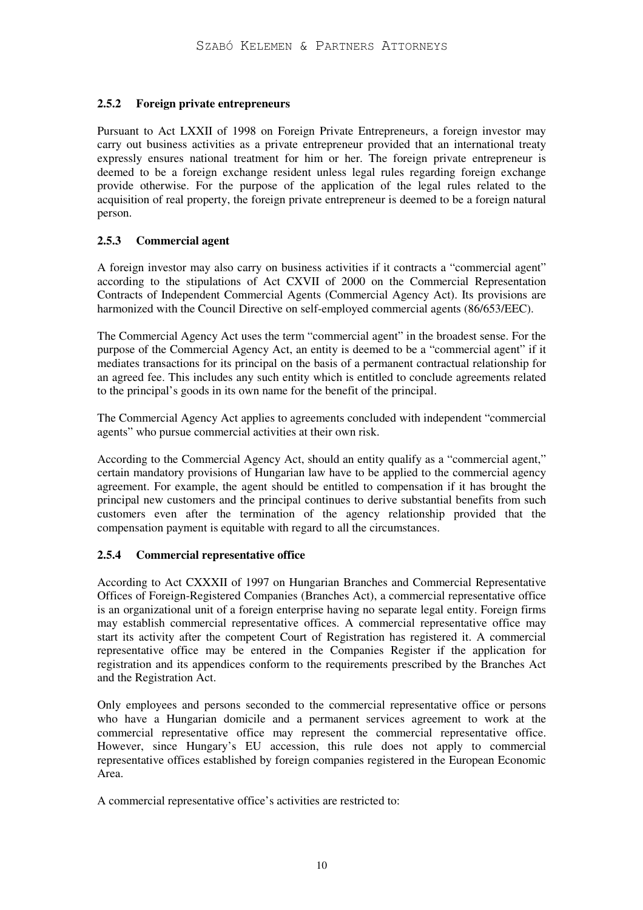## **2.5.2 Foreign private entrepreneurs**

Pursuant to Act LXXII of 1998 on Foreign Private Entrepreneurs, a foreign investor may carry out business activities as a private entrepreneur provided that an international treaty expressly ensures national treatment for him or her. The foreign private entrepreneur is deemed to be a foreign exchange resident unless legal rules regarding foreign exchange provide otherwise. For the purpose of the application of the legal rules related to the acquisition of real property, the foreign private entrepreneur is deemed to be a foreign natural person.

## **2.5.3 Commercial agent**

A foreign investor may also carry on business activities if it contracts a "commercial agent" according to the stipulations of Act CXVII of 2000 on the Commercial Representation Contracts of Independent Commercial Agents (Commercial Agency Act). Its provisions are harmonized with the Council Directive on self-employed commercial agents (86/653/EEC).

The Commercial Agency Act uses the term "commercial agent" in the broadest sense. For the purpose of the Commercial Agency Act, an entity is deemed to be a "commercial agent" if it mediates transactions for its principal on the basis of a permanent contractual relationship for an agreed fee. This includes any such entity which is entitled to conclude agreements related to the principal's goods in its own name for the benefit of the principal.

The Commercial Agency Act applies to agreements concluded with independent "commercial agents" who pursue commercial activities at their own risk.

According to the Commercial Agency Act, should an entity qualify as a "commercial agent," certain mandatory provisions of Hungarian law have to be applied to the commercial agency agreement. For example, the agent should be entitled to compensation if it has brought the principal new customers and the principal continues to derive substantial benefits from such customers even after the termination of the agency relationship provided that the compensation payment is equitable with regard to all the circumstances.

## **2.5.4 Commercial representative office**

According to Act CXXXII of 1997 on Hungarian Branches and Commercial Representative Offices of Foreign-Registered Companies (Branches Act), a commercial representative office is an organizational unit of a foreign enterprise having no separate legal entity. Foreign firms may establish commercial representative offices. A commercial representative office may start its activity after the competent Court of Registration has registered it. A commercial representative office may be entered in the Companies Register if the application for registration and its appendices conform to the requirements prescribed by the Branches Act and the Registration Act.

Only employees and persons seconded to the commercial representative office or persons who have a Hungarian domicile and a permanent services agreement to work at the commercial representative office may represent the commercial representative office. However, since Hungary's EU accession, this rule does not apply to commercial representative offices established by foreign companies registered in the European Economic Area.

A commercial representative office's activities are restricted to: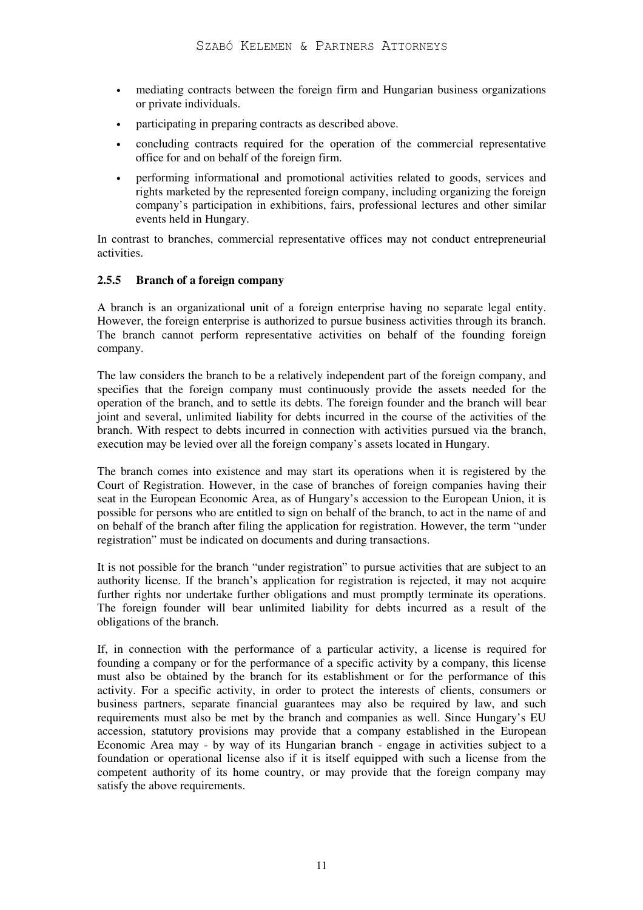- mediating contracts between the foreign firm and Hungarian business organizations or private individuals.
- participating in preparing contracts as described above.
- concluding contracts required for the operation of the commercial representative office for and on behalf of the foreign firm.
- performing informational and promotional activities related to goods, services and rights marketed by the represented foreign company, including organizing the foreign company's participation in exhibitions, fairs, professional lectures and other similar events held in Hungary.

In contrast to branches, commercial representative offices may not conduct entrepreneurial activities.

#### **2.5.5 Branch of a foreign company**

A branch is an organizational unit of a foreign enterprise having no separate legal entity. However, the foreign enterprise is authorized to pursue business activities through its branch. The branch cannot perform representative activities on behalf of the founding foreign company.

The law considers the branch to be a relatively independent part of the foreign company, and specifies that the foreign company must continuously provide the assets needed for the operation of the branch, and to settle its debts. The foreign founder and the branch will bear joint and several, unlimited liability for debts incurred in the course of the activities of the branch. With respect to debts incurred in connection with activities pursued via the branch, execution may be levied over all the foreign company's assets located in Hungary.

The branch comes into existence and may start its operations when it is registered by the Court of Registration. However, in the case of branches of foreign companies having their seat in the European Economic Area, as of Hungary's accession to the European Union, it is possible for persons who are entitled to sign on behalf of the branch, to act in the name of and on behalf of the branch after filing the application for registration. However, the term "under registration" must be indicated on documents and during transactions.

It is not possible for the branch "under registration" to pursue activities that are subject to an authority license. If the branch's application for registration is rejected, it may not acquire further rights nor undertake further obligations and must promptly terminate its operations. The foreign founder will bear unlimited liability for debts incurred as a result of the obligations of the branch.

If, in connection with the performance of a particular activity, a license is required for founding a company or for the performance of a specific activity by a company, this license must also be obtained by the branch for its establishment or for the performance of this activity. For a specific activity, in order to protect the interests of clients, consumers or business partners, separate financial guarantees may also be required by law, and such requirements must also be met by the branch and companies as well. Since Hungary's EU accession, statutory provisions may provide that a company established in the European Economic Area may - by way of its Hungarian branch - engage in activities subject to a foundation or operational license also if it is itself equipped with such a license from the competent authority of its home country, or may provide that the foreign company may satisfy the above requirements.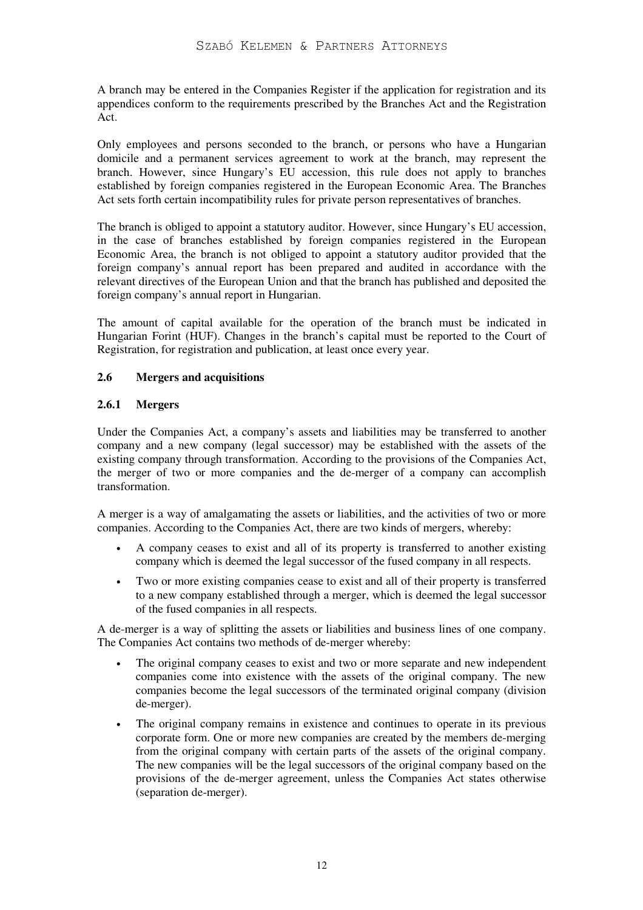A branch may be entered in the Companies Register if the application for registration and its appendices conform to the requirements prescribed by the Branches Act and the Registration Act.

Only employees and persons seconded to the branch, or persons who have a Hungarian domicile and a permanent services agreement to work at the branch, may represent the branch. However, since Hungary's EU accession, this rule does not apply to branches established by foreign companies registered in the European Economic Area. The Branches Act sets forth certain incompatibility rules for private person representatives of branches.

The branch is obliged to appoint a statutory auditor. However, since Hungary's EU accession, in the case of branches established by foreign companies registered in the European Economic Area, the branch is not obliged to appoint a statutory auditor provided that the foreign company's annual report has been prepared and audited in accordance with the relevant directives of the European Union and that the branch has published and deposited the foreign company's annual report in Hungarian.

The amount of capital available for the operation of the branch must be indicated in Hungarian Forint (HUF). Changes in the branch's capital must be reported to the Court of Registration, for registration and publication, at least once every year.

## **2.6 Mergers and acquisitions**

## **2.6.1 Mergers**

Under the Companies Act, a company's assets and liabilities may be transferred to another company and a new company (legal successor) may be established with the assets of the existing company through transformation. According to the provisions of the Companies Act, the merger of two or more companies and the de-merger of a company can accomplish transformation.

A merger is a way of amalgamating the assets or liabilities, and the activities of two or more companies. According to the Companies Act, there are two kinds of mergers, whereby:

- A company ceases to exist and all of its property is transferred to another existing company which is deemed the legal successor of the fused company in all respects.
- Two or more existing companies cease to exist and all of their property is transferred to a new company established through a merger, which is deemed the legal successor of the fused companies in all respects.

A de-merger is a way of splitting the assets or liabilities and business lines of one company. The Companies Act contains two methods of de-merger whereby:

- The original company ceases to exist and two or more separate and new independent companies come into existence with the assets of the original company. The new companies become the legal successors of the terminated original company (division de-merger).
- The original company remains in existence and continues to operate in its previous corporate form. One or more new companies are created by the members de-merging from the original company with certain parts of the assets of the original company. The new companies will be the legal successors of the original company based on the provisions of the de-merger agreement, unless the Companies Act states otherwise (separation de-merger).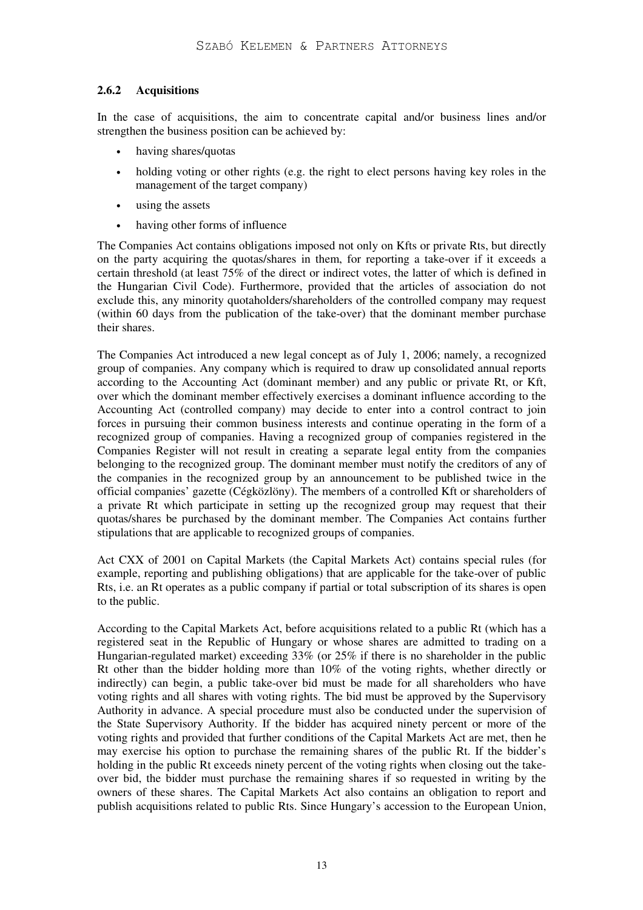## **2.6.2 Acquisitions**

In the case of acquisitions, the aim to concentrate capital and/or business lines and/or strengthen the business position can be achieved by:

- having shares/quotas
- holding voting or other rights (e.g. the right to elect persons having key roles in the management of the target company)
- using the assets
- having other forms of influence

The Companies Act contains obligations imposed not only on Kfts or private Rts, but directly on the party acquiring the quotas/shares in them, for reporting a take-over if it exceeds a certain threshold (at least 75% of the direct or indirect votes, the latter of which is defined in the Hungarian Civil Code). Furthermore, provided that the articles of association do not exclude this, any minority quotaholders/shareholders of the controlled company may request (within 60 days from the publication of the take-over) that the dominant member purchase their shares.

The Companies Act introduced a new legal concept as of July 1, 2006; namely, a recognized group of companies. Any company which is required to draw up consolidated annual reports according to the Accounting Act (dominant member) and any public or private Rt, or Kft, over which the dominant member effectively exercises a dominant influence according to the Accounting Act (controlled company) may decide to enter into a control contract to join forces in pursuing their common business interests and continue operating in the form of a recognized group of companies. Having a recognized group of companies registered in the Companies Register will not result in creating a separate legal entity from the companies belonging to the recognized group. The dominant member must notify the creditors of any of the companies in the recognized group by an announcement to be published twice in the official companies' gazette (Cégközlöny). The members of a controlled Kft or shareholders of a private Rt which participate in setting up the recognized group may request that their quotas/shares be purchased by the dominant member. The Companies Act contains further stipulations that are applicable to recognized groups of companies.

Act CXX of 2001 on Capital Markets (the Capital Markets Act) contains special rules (for example, reporting and publishing obligations) that are applicable for the take-over of public Rts, i.e. an Rt operates as a public company if partial or total subscription of its shares is open to the public.

According to the Capital Markets Act, before acquisitions related to a public Rt (which has a registered seat in the Republic of Hungary or whose shares are admitted to trading on a Hungarian-regulated market) exceeding 33% (or 25% if there is no shareholder in the public Rt other than the bidder holding more than 10% of the voting rights, whether directly or indirectly) can begin, a public take-over bid must be made for all shareholders who have voting rights and all shares with voting rights. The bid must be approved by the Supervisory Authority in advance. A special procedure must also be conducted under the supervision of the State Supervisory Authority. If the bidder has acquired ninety percent or more of the voting rights and provided that further conditions of the Capital Markets Act are met, then he may exercise his option to purchase the remaining shares of the public Rt. If the bidder's holding in the public Rt exceeds ninety percent of the voting rights when closing out the takeover bid, the bidder must purchase the remaining shares if so requested in writing by the owners of these shares. The Capital Markets Act also contains an obligation to report and publish acquisitions related to public Rts. Since Hungary's accession to the European Union,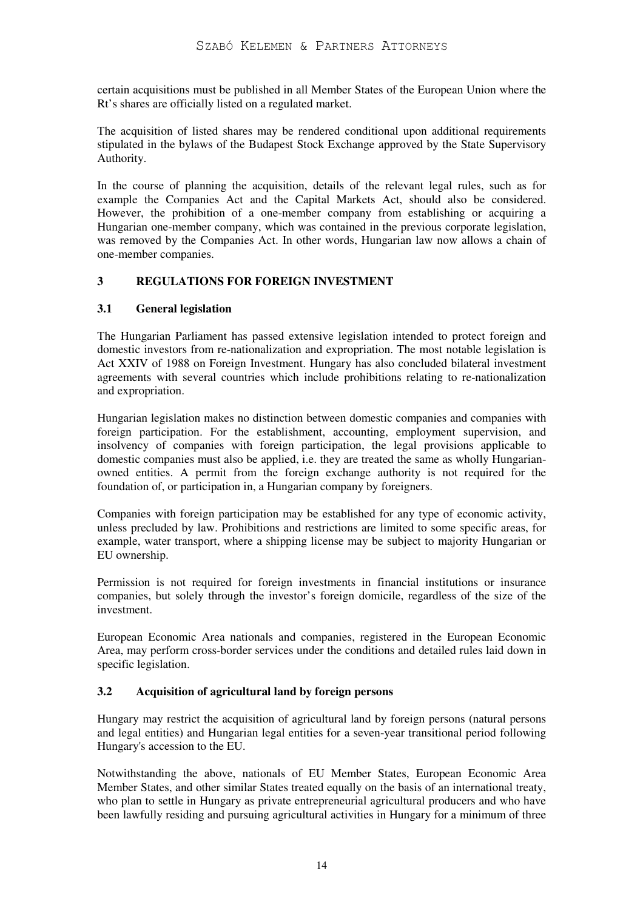certain acquisitions must be published in all Member States of the European Union where the Rt's shares are officially listed on a regulated market.

The acquisition of listed shares may be rendered conditional upon additional requirements stipulated in the bylaws of the Budapest Stock Exchange approved by the State Supervisory Authority.

In the course of planning the acquisition, details of the relevant legal rules, such as for example the Companies Act and the Capital Markets Act, should also be considered. However, the prohibition of a one-member company from establishing or acquiring a Hungarian one-member company, which was contained in the previous corporate legislation, was removed by the Companies Act. In other words, Hungarian law now allows a chain of one-member companies.

## **3 REGULATIONS FOR FOREIGN INVESTMENT**

## **3.1 General legislation**

The Hungarian Parliament has passed extensive legislation intended to protect foreign and domestic investors from re-nationalization and expropriation. The most notable legislation is Act XXIV of 1988 on Foreign Investment. Hungary has also concluded bilateral investment agreements with several countries which include prohibitions relating to re-nationalization and expropriation.

Hungarian legislation makes no distinction between domestic companies and companies with foreign participation. For the establishment, accounting, employment supervision, and insolvency of companies with foreign participation, the legal provisions applicable to domestic companies must also be applied, i.e. they are treated the same as wholly Hungarianowned entities. A permit from the foreign exchange authority is not required for the foundation of, or participation in, a Hungarian company by foreigners.

Companies with foreign participation may be established for any type of economic activity, unless precluded by law. Prohibitions and restrictions are limited to some specific areas, for example, water transport, where a shipping license may be subject to majority Hungarian or EU ownership.

Permission is not required for foreign investments in financial institutions or insurance companies, but solely through the investor's foreign domicile, regardless of the size of the investment.

European Economic Area nationals and companies, registered in the European Economic Area, may perform cross-border services under the conditions and detailed rules laid down in specific legislation.

## **3.2 Acquisition of agricultural land by foreign persons**

Hungary may restrict the acquisition of agricultural land by foreign persons (natural persons and legal entities) and Hungarian legal entities for a seven-year transitional period following Hungary's accession to the EU.

Notwithstanding the above, nationals of EU Member States, European Economic Area Member States, and other similar States treated equally on the basis of an international treaty, who plan to settle in Hungary as private entrepreneurial agricultural producers and who have been lawfully residing and pursuing agricultural activities in Hungary for a minimum of three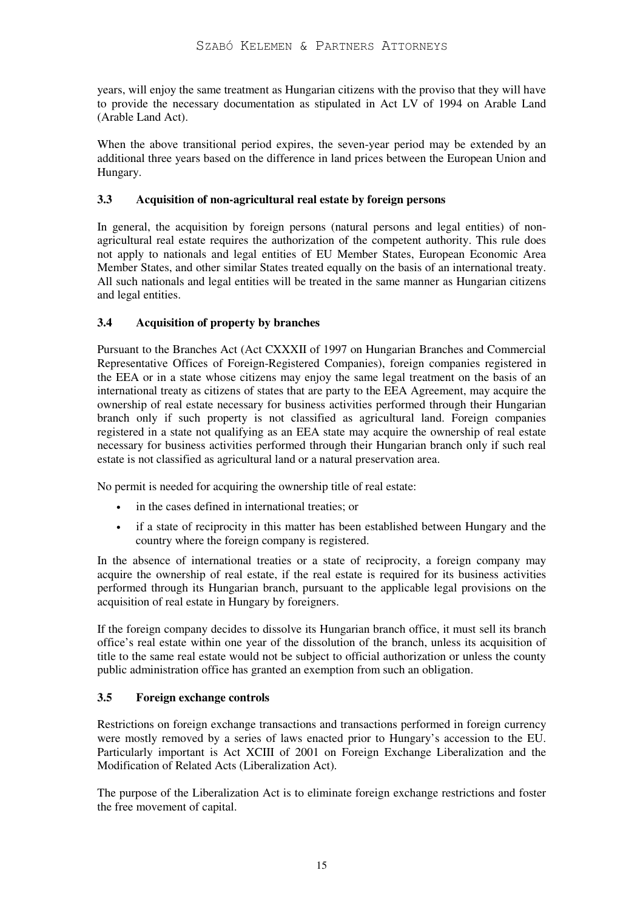years, will enjoy the same treatment as Hungarian citizens with the proviso that they will have to provide the necessary documentation as stipulated in Act LV of 1994 on Arable Land (Arable Land Act).

When the above transitional period expires, the seven-year period may be extended by an additional three years based on the difference in land prices between the European Union and Hungary.

## **3.3 Acquisition of non-agricultural real estate by foreign persons**

In general, the acquisition by foreign persons (natural persons and legal entities) of nonagricultural real estate requires the authorization of the competent authority. This rule does not apply to nationals and legal entities of EU Member States, European Economic Area Member States, and other similar States treated equally on the basis of an international treaty. All such nationals and legal entities will be treated in the same manner as Hungarian citizens and legal entities.

## **3.4 Acquisition of property by branches**

Pursuant to the Branches Act (Act CXXXII of 1997 on Hungarian Branches and Commercial Representative Offices of Foreign-Registered Companies), foreign companies registered in the EEA or in a state whose citizens may enjoy the same legal treatment on the basis of an international treaty as citizens of states that are party to the EEA Agreement, may acquire the ownership of real estate necessary for business activities performed through their Hungarian branch only if such property is not classified as agricultural land. Foreign companies registered in a state not qualifying as an EEA state may acquire the ownership of real estate necessary for business activities performed through their Hungarian branch only if such real estate is not classified as agricultural land or a natural preservation area.

No permit is needed for acquiring the ownership title of real estate:

- in the cases defined in international treaties; or
- if a state of reciprocity in this matter has been established between Hungary and the country where the foreign company is registered.

In the absence of international treaties or a state of reciprocity, a foreign company may acquire the ownership of real estate, if the real estate is required for its business activities performed through its Hungarian branch, pursuant to the applicable legal provisions on the acquisition of real estate in Hungary by foreigners.

If the foreign company decides to dissolve its Hungarian branch office, it must sell its branch office's real estate within one year of the dissolution of the branch, unless its acquisition of title to the same real estate would not be subject to official authorization or unless the county public administration office has granted an exemption from such an obligation.

## **3.5 Foreign exchange controls**

Restrictions on foreign exchange transactions and transactions performed in foreign currency were mostly removed by a series of laws enacted prior to Hungary's accession to the EU. Particularly important is Act XCIII of 2001 on Foreign Exchange Liberalization and the Modification of Related Acts (Liberalization Act).

The purpose of the Liberalization Act is to eliminate foreign exchange restrictions and foster the free movement of capital.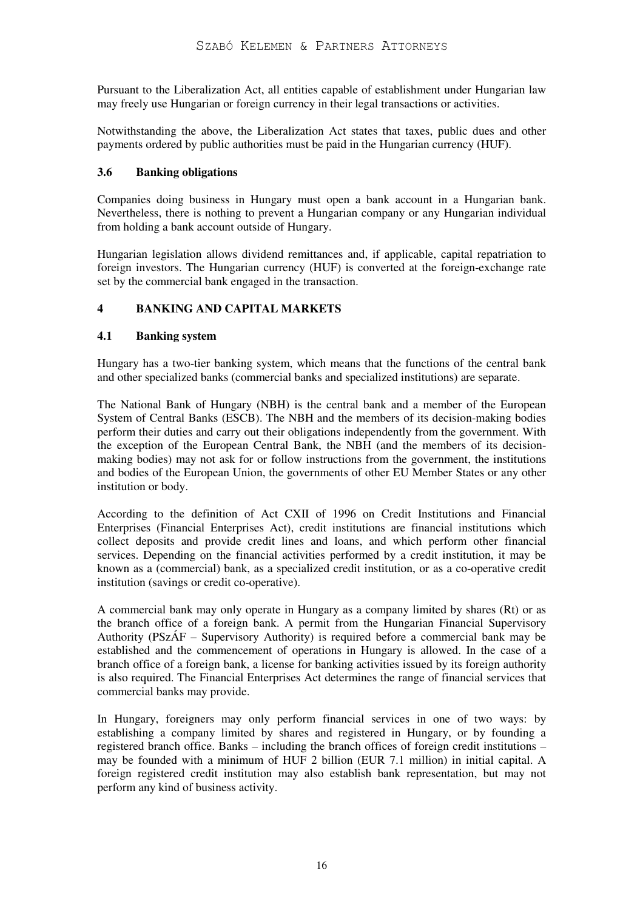Pursuant to the Liberalization Act, all entities capable of establishment under Hungarian law may freely use Hungarian or foreign currency in their legal transactions or activities.

Notwithstanding the above, the Liberalization Act states that taxes, public dues and other payments ordered by public authorities must be paid in the Hungarian currency (HUF).

#### **3.6 Banking obligations**

Companies doing business in Hungary must open a bank account in a Hungarian bank. Nevertheless, there is nothing to prevent a Hungarian company or any Hungarian individual from holding a bank account outside of Hungary.

Hungarian legislation allows dividend remittances and, if applicable, capital repatriation to foreign investors. The Hungarian currency (HUF) is converted at the foreign-exchange rate set by the commercial bank engaged in the transaction.

## **4 BANKING AND CAPITAL MARKETS**

#### **4.1 Banking system**

Hungary has a two-tier banking system, which means that the functions of the central bank and other specialized banks (commercial banks and specialized institutions) are separate.

The National Bank of Hungary (NBH) is the central bank and a member of the European System of Central Banks (ESCB). The NBH and the members of its decision-making bodies perform their duties and carry out their obligations independently from the government. With the exception of the European Central Bank, the NBH (and the members of its decisionmaking bodies) may not ask for or follow instructions from the government, the institutions and bodies of the European Union, the governments of other EU Member States or any other institution or body.

According to the definition of Act CXII of 1996 on Credit Institutions and Financial Enterprises (Financial Enterprises Act), credit institutions are financial institutions which collect deposits and provide credit lines and loans, and which perform other financial services. Depending on the financial activities performed by a credit institution, it may be known as a (commercial) bank, as a specialized credit institution, or as a co-operative credit institution (savings or credit co-operative).

A commercial bank may only operate in Hungary as a company limited by shares (Rt) or as the branch office of a foreign bank. A permit from the Hungarian Financial Supervisory Authority (PSzÁF – Supervisory Authority) is required before a commercial bank may be established and the commencement of operations in Hungary is allowed. In the case of a branch office of a foreign bank, a license for banking activities issued by its foreign authority is also required. The Financial Enterprises Act determines the range of financial services that commercial banks may provide.

In Hungary, foreigners may only perform financial services in one of two ways: by establishing a company limited by shares and registered in Hungary, or by founding a registered branch office. Banks – including the branch offices of foreign credit institutions – may be founded with a minimum of HUF 2 billion (EUR 7.1 million) in initial capital. A foreign registered credit institution may also establish bank representation, but may not perform any kind of business activity.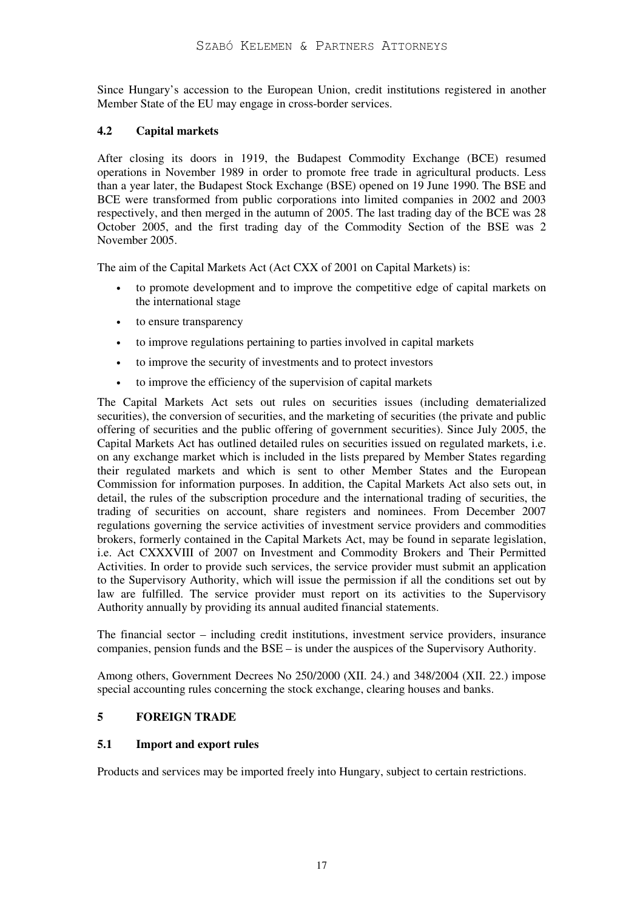Since Hungary's accession to the European Union, credit institutions registered in another Member State of the EU may engage in cross-border services.

#### **4.2 Capital markets**

After closing its doors in 1919, the Budapest Commodity Exchange (BCE) resumed operations in November 1989 in order to promote free trade in agricultural products. Less than a year later, the Budapest Stock Exchange (BSE) opened on 19 June 1990. The BSE and BCE were transformed from public corporations into limited companies in 2002 and 2003 respectively, and then merged in the autumn of 2005. The last trading day of the BCE was 28 October 2005, and the first trading day of the Commodity Section of the BSE was 2 November 2005.

The aim of the Capital Markets Act (Act CXX of 2001 on Capital Markets) is:

- to promote development and to improve the competitive edge of capital markets on the international stage
- to ensure transparency
- to improve regulations pertaining to parties involved in capital markets
- to improve the security of investments and to protect investors
- to improve the efficiency of the supervision of capital markets

The Capital Markets Act sets out rules on securities issues (including dematerialized securities), the conversion of securities, and the marketing of securities (the private and public offering of securities and the public offering of government securities). Since July 2005, the Capital Markets Act has outlined detailed rules on securities issued on regulated markets, i.e. on any exchange market which is included in the lists prepared by Member States regarding their regulated markets and which is sent to other Member States and the European Commission for information purposes. In addition, the Capital Markets Act also sets out, in detail, the rules of the subscription procedure and the international trading of securities, the trading of securities on account, share registers and nominees. From December 2007 regulations governing the service activities of investment service providers and commodities brokers, formerly contained in the Capital Markets Act, may be found in separate legislation, i.e. Act CXXXVIII of 2007 on Investment and Commodity Brokers and Their Permitted Activities. In order to provide such services, the service provider must submit an application to the Supervisory Authority, which will issue the permission if all the conditions set out by law are fulfilled. The service provider must report on its activities to the Supervisory Authority annually by providing its annual audited financial statements.

The financial sector – including credit institutions, investment service providers, insurance companies, pension funds and the BSE – is under the auspices of the Supervisory Authority.

Among others, Government Decrees No 250/2000 (XII. 24.) and 348/2004 (XII. 22.) impose special accounting rules concerning the stock exchange, clearing houses and banks.

#### **5 FOREIGN TRADE**

#### **5.1 Import and export rules**

Products and services may be imported freely into Hungary, subject to certain restrictions.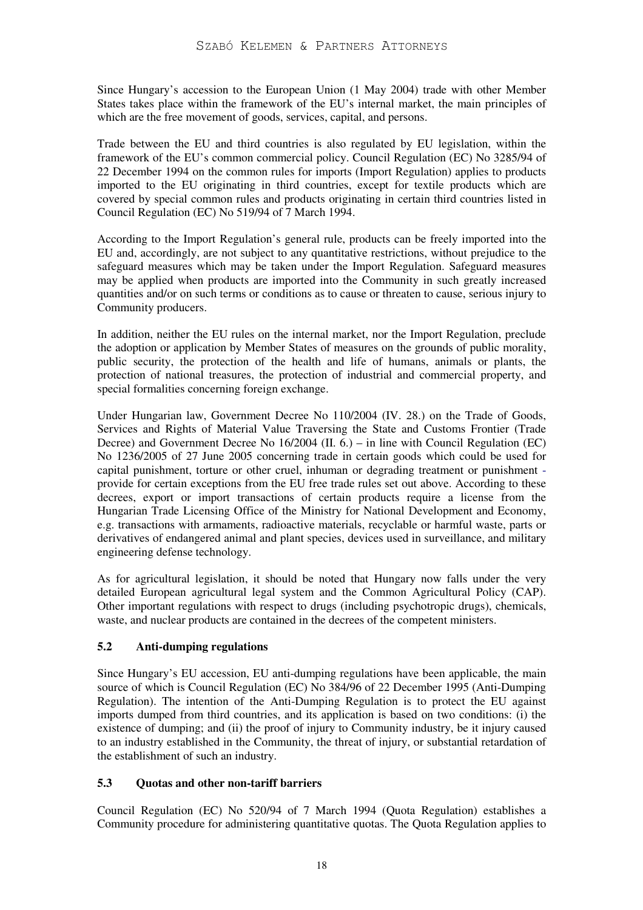Since Hungary's accession to the European Union (1 May 2004) trade with other Member States takes place within the framework of the EU's internal market, the main principles of which are the free movement of goods, services, capital, and persons.

Trade between the EU and third countries is also regulated by EU legislation, within the framework of the EU's common commercial policy. Council Regulation (EC) No 3285/94 of 22 December 1994 on the common rules for imports (Import Regulation) applies to products imported to the EU originating in third countries, except for textile products which are covered by special common rules and products originating in certain third countries listed in Council Regulation (EC) No 519/94 of 7 March 1994.

According to the Import Regulation's general rule, products can be freely imported into the EU and, accordingly, are not subject to any quantitative restrictions, without prejudice to the safeguard measures which may be taken under the Import Regulation. Safeguard measures may be applied when products are imported into the Community in such greatly increased quantities and/or on such terms or conditions as to cause or threaten to cause, serious injury to Community producers.

In addition, neither the EU rules on the internal market, nor the Import Regulation, preclude the adoption or application by Member States of measures on the grounds of public morality, public security, the protection of the health and life of humans, animals or plants, the protection of national treasures, the protection of industrial and commercial property, and special formalities concerning foreign exchange.

Under Hungarian law, Government Decree No 110/2004 (IV. 28.) on the Trade of Goods, Services and Rights of Material Value Traversing the State and Customs Frontier (Trade Decree) and Government Decree No 16/2004 (II. 6.) – in line with Council Regulation (EC) No 1236/2005 of 27 June 2005 concerning trade in certain goods which could be used for capital punishment, torture or other cruel, inhuman or degrading treatment or punishment provide for certain exceptions from the EU free trade rules set out above. According to these decrees, export or import transactions of certain products require a license from the Hungarian Trade Licensing Office of the Ministry for National Development and Economy, e.g. transactions with armaments, radioactive materials, recyclable or harmful waste, parts or derivatives of endangered animal and plant species, devices used in surveillance, and military engineering defense technology.

As for agricultural legislation, it should be noted that Hungary now falls under the very detailed European agricultural legal system and the Common Agricultural Policy (CAP). Other important regulations with respect to drugs (including psychotropic drugs), chemicals, waste, and nuclear products are contained in the decrees of the competent ministers.

# **5.2 Anti-dumping regulations**

Since Hungary's EU accession, EU anti-dumping regulations have been applicable, the main source of which is Council Regulation (EC) No 384/96 of 22 December 1995 (Anti-Dumping Regulation). The intention of the Anti-Dumping Regulation is to protect the EU against imports dumped from third countries, and its application is based on two conditions: (i) the existence of dumping; and (ii) the proof of injury to Community industry, be it injury caused to an industry established in the Community, the threat of injury, or substantial retardation of the establishment of such an industry.

## **5.3 Quotas and other non-tariff barriers**

Council Regulation (EC) No 520/94 of 7 March 1994 (Quota Regulation) establishes a Community procedure for administering quantitative quotas. The Quota Regulation applies to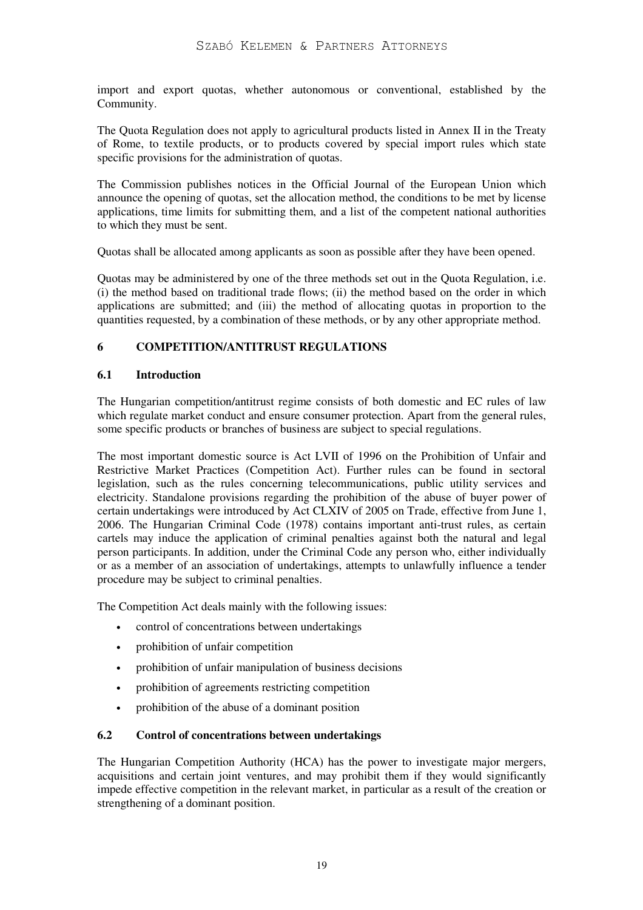import and export quotas, whether autonomous or conventional, established by the Community.

The Quota Regulation does not apply to agricultural products listed in Annex II in the Treaty of Rome, to textile products, or to products covered by special import rules which state specific provisions for the administration of quotas.

The Commission publishes notices in the Official Journal of the European Union which announce the opening of quotas, set the allocation method, the conditions to be met by license applications, time limits for submitting them, and a list of the competent national authorities to which they must be sent.

Quotas shall be allocated among applicants as soon as possible after they have been opened.

Quotas may be administered by one of the three methods set out in the Quota Regulation, i.e. (i) the method based on traditional trade flows; (ii) the method based on the order in which applications are submitted; and (iii) the method of allocating quotas in proportion to the quantities requested, by a combination of these methods, or by any other appropriate method.

#### **6 COMPETITION/ANTITRUST REGULATIONS**

#### **6.1 Introduction**

The Hungarian competition/antitrust regime consists of both domestic and EC rules of law which regulate market conduct and ensure consumer protection. Apart from the general rules, some specific products or branches of business are subject to special regulations.

The most important domestic source is Act LVII of 1996 on the Prohibition of Unfair and Restrictive Market Practices (Competition Act). Further rules can be found in sectoral legislation, such as the rules concerning telecommunications, public utility services and electricity. Standalone provisions regarding the prohibition of the abuse of buyer power of certain undertakings were introduced by Act CLXIV of 2005 on Trade, effective from June 1, 2006. The Hungarian Criminal Code (1978) contains important anti-trust rules, as certain cartels may induce the application of criminal penalties against both the natural and legal person participants. In addition, under the Criminal Code any person who, either individually or as a member of an association of undertakings, attempts to unlawfully influence a tender procedure may be subject to criminal penalties.

The Competition Act deals mainly with the following issues:

- control of concentrations between undertakings
- prohibition of unfair competition
- prohibition of unfair manipulation of business decisions
- prohibition of agreements restricting competition
- prohibition of the abuse of a dominant position

#### **6.2 Control of concentrations between undertakings**

The Hungarian Competition Authority (HCA) has the power to investigate major mergers, acquisitions and certain joint ventures, and may prohibit them if they would significantly impede effective competition in the relevant market, in particular as a result of the creation or strengthening of a dominant position.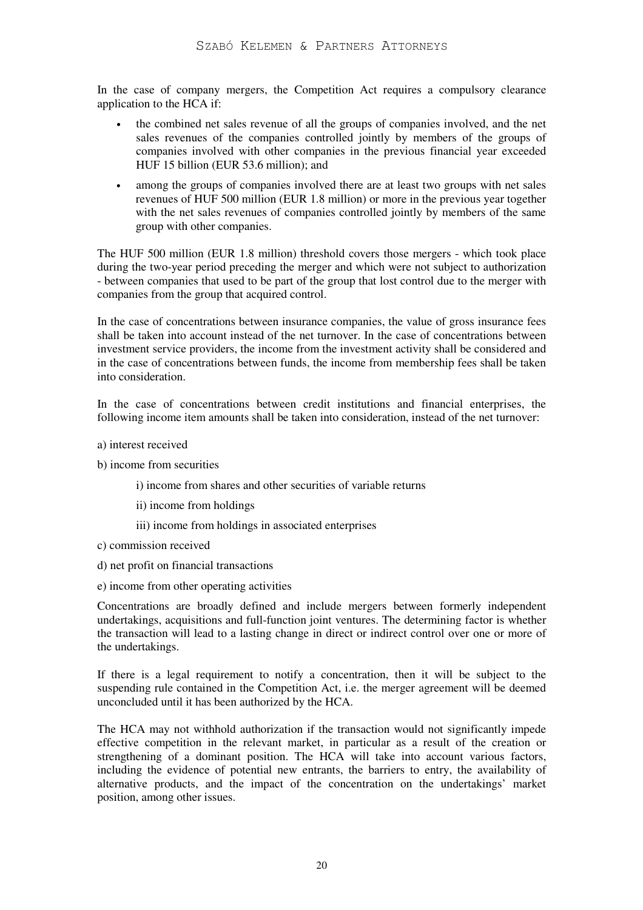In the case of company mergers, the Competition Act requires a compulsory clearance application to the HCA if:

- the combined net sales revenue of all the groups of companies involved, and the net sales revenues of the companies controlled jointly by members of the groups of companies involved with other companies in the previous financial year exceeded HUF 15 billion (EUR 53.6 million); and
- among the groups of companies involved there are at least two groups with net sales revenues of HUF 500 million (EUR 1.8 million) or more in the previous year together with the net sales revenues of companies controlled jointly by members of the same group with other companies.

The HUF 500 million (EUR 1.8 million) threshold covers those mergers - which took place during the two-year period preceding the merger and which were not subject to authorization - between companies that used to be part of the group that lost control due to the merger with companies from the group that acquired control.

In the case of concentrations between insurance companies, the value of gross insurance fees shall be taken into account instead of the net turnover. In the case of concentrations between investment service providers, the income from the investment activity shall be considered and in the case of concentrations between funds, the income from membership fees shall be taken into consideration.

In the case of concentrations between credit institutions and financial enterprises, the following income item amounts shall be taken into consideration, instead of the net turnover:

- a) interest received
- b) income from securities
	- i) income from shares and other securities of variable returns
	- ii) income from holdings
	- iii) income from holdings in associated enterprises
- c) commission received
- d) net profit on financial transactions
- e) income from other operating activities

Concentrations are broadly defined and include mergers between formerly independent undertakings, acquisitions and full-function joint ventures. The determining factor is whether the transaction will lead to a lasting change in direct or indirect control over one or more of the undertakings.

If there is a legal requirement to notify a concentration, then it will be subject to the suspending rule contained in the Competition Act, i.e. the merger agreement will be deemed unconcluded until it has been authorized by the HCA.

The HCA may not withhold authorization if the transaction would not significantly impede effective competition in the relevant market, in particular as a result of the creation or strengthening of a dominant position. The HCA will take into account various factors, including the evidence of potential new entrants, the barriers to entry, the availability of alternative products, and the impact of the concentration on the undertakings' market position, among other issues.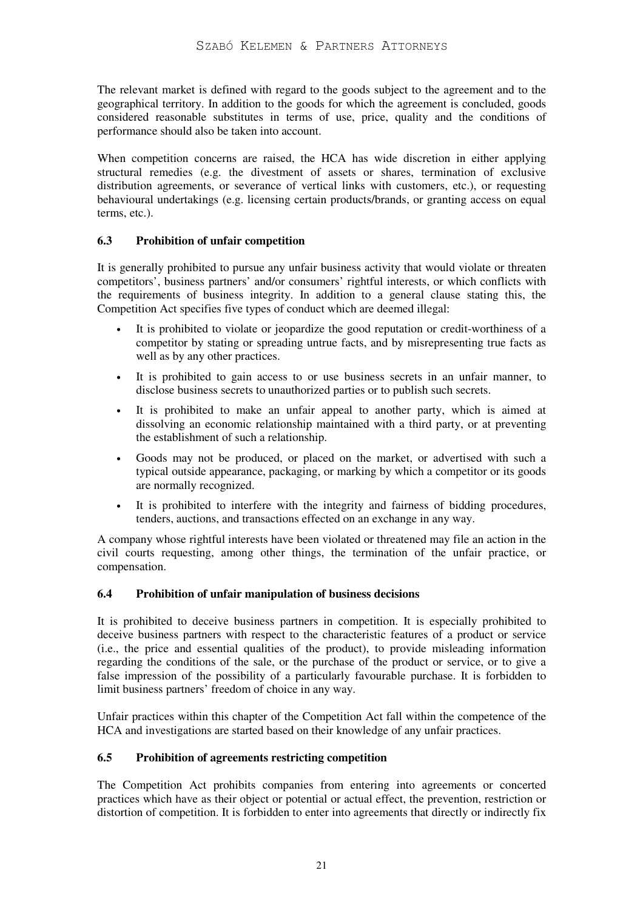The relevant market is defined with regard to the goods subject to the agreement and to the geographical territory. In addition to the goods for which the agreement is concluded, goods considered reasonable substitutes in terms of use, price, quality and the conditions of performance should also be taken into account.

When competition concerns are raised, the HCA has wide discretion in either applying structural remedies (e.g. the divestment of assets or shares, termination of exclusive distribution agreements, or severance of vertical links with customers, etc.), or requesting behavioural undertakings (e.g. licensing certain products/brands, or granting access on equal terms, etc.).

## **6.3 Prohibition of unfair competition**

It is generally prohibited to pursue any unfair business activity that would violate or threaten competitors', business partners' and/or consumers' rightful interests, or which conflicts with the requirements of business integrity. In addition to a general clause stating this, the Competition Act specifies five types of conduct which are deemed illegal:

- It is prohibited to violate or jeopardize the good reputation or credit-worthiness of a competitor by stating or spreading untrue facts, and by misrepresenting true facts as well as by any other practices.
- It is prohibited to gain access to or use business secrets in an unfair manner, to disclose business secrets to unauthorized parties or to publish such secrets.
- It is prohibited to make an unfair appeal to another party, which is aimed at dissolving an economic relationship maintained with a third party, or at preventing the establishment of such a relationship.
- Goods may not be produced, or placed on the market, or advertised with such a typical outside appearance, packaging, or marking by which a competitor or its goods are normally recognized.
- It is prohibited to interfere with the integrity and fairness of bidding procedures, tenders, auctions, and transactions effected on an exchange in any way.

A company whose rightful interests have been violated or threatened may file an action in the civil courts requesting, among other things, the termination of the unfair practice, or compensation.

#### **6.4 Prohibition of unfair manipulation of business decisions**

It is prohibited to deceive business partners in competition. It is especially prohibited to deceive business partners with respect to the characteristic features of a product or service (i.e., the price and essential qualities of the product), to provide misleading information regarding the conditions of the sale, or the purchase of the product or service, or to give a false impression of the possibility of a particularly favourable purchase. It is forbidden to limit business partners' freedom of choice in any way.

Unfair practices within this chapter of the Competition Act fall within the competence of the HCA and investigations are started based on their knowledge of any unfair practices.

#### **6.5 Prohibition of agreements restricting competition**

The Competition Act prohibits companies from entering into agreements or concerted practices which have as their object or potential or actual effect, the prevention, restriction or distortion of competition. It is forbidden to enter into agreements that directly or indirectly fix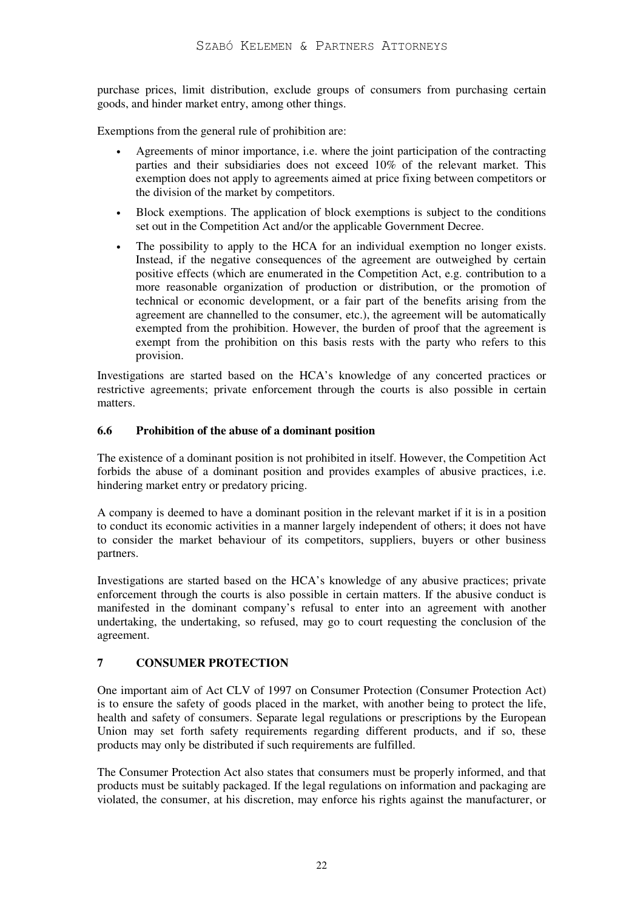purchase prices, limit distribution, exclude groups of consumers from purchasing certain goods, and hinder market entry, among other things.

Exemptions from the general rule of prohibition are:

- Agreements of minor importance, i.e. where the joint participation of the contracting parties and their subsidiaries does not exceed 10% of the relevant market. This exemption does not apply to agreements aimed at price fixing between competitors or the division of the market by competitors.
- Block exemptions. The application of block exemptions is subject to the conditions set out in the Competition Act and/or the applicable Government Decree.
- The possibility to apply to the HCA for an individual exemption no longer exists. Instead, if the negative consequences of the agreement are outweighed by certain positive effects (which are enumerated in the Competition Act, e.g. contribution to a more reasonable organization of production or distribution, or the promotion of technical or economic development, or a fair part of the benefits arising from the agreement are channelled to the consumer, etc.), the agreement will be automatically exempted from the prohibition. However, the burden of proof that the agreement is exempt from the prohibition on this basis rests with the party who refers to this provision.

Investigations are started based on the HCA's knowledge of any concerted practices or restrictive agreements; private enforcement through the courts is also possible in certain matters.

#### **6.6 Prohibition of the abuse of a dominant position**

The existence of a dominant position is not prohibited in itself. However, the Competition Act forbids the abuse of a dominant position and provides examples of abusive practices, i.e. hindering market entry or predatory pricing.

A company is deemed to have a dominant position in the relevant market if it is in a position to conduct its economic activities in a manner largely independent of others; it does not have to consider the market behaviour of its competitors, suppliers, buyers or other business partners.

Investigations are started based on the HCA's knowledge of any abusive practices; private enforcement through the courts is also possible in certain matters. If the abusive conduct is manifested in the dominant company's refusal to enter into an agreement with another undertaking, the undertaking, so refused, may go to court requesting the conclusion of the agreement.

## **7 CONSUMER PROTECTION**

One important aim of Act CLV of 1997 on Consumer Protection (Consumer Protection Act) is to ensure the safety of goods placed in the market, with another being to protect the life, health and safety of consumers. Separate legal regulations or prescriptions by the European Union may set forth safety requirements regarding different products, and if so, these products may only be distributed if such requirements are fulfilled.

The Consumer Protection Act also states that consumers must be properly informed, and that products must be suitably packaged. If the legal regulations on information and packaging are violated, the consumer, at his discretion, may enforce his rights against the manufacturer, or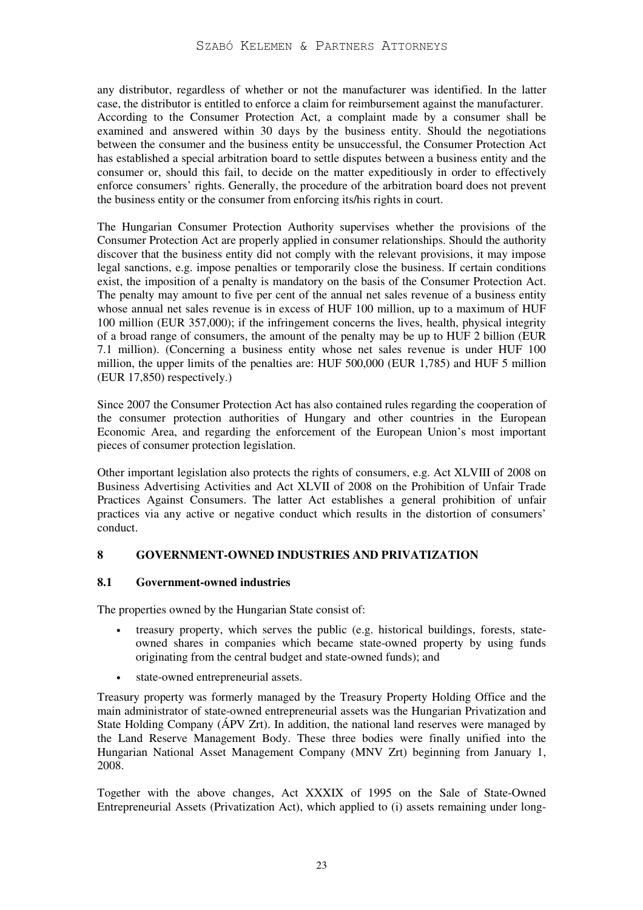any distributor, regardless of whether or not the manufacturer was identified. In the latter case, the distributor is entitled to enforce a claim for reimbursement against the manufacturer. According to the Consumer Protection Act, a complaint made by a consumer shall be examined and answered within 30 days by the business entity. Should the negotiations between the consumer and the business entity be unsuccessful, the Consumer Protection Act has established a special arbitration board to settle disputes between a business entity and the consumer or, should this fail, to decide on the matter expeditiously in order to effectively enforce consumers' rights. Generally, the procedure of the arbitration board does not prevent the business entity or the consumer from enforcing its/his rights in court.

The Hungarian Consumer Protection Authority supervises whether the provisions of the Consumer Protection Act are properly applied in consumer relationships. Should the authority discover that the business entity did not comply with the relevant provisions, it may impose legal sanctions, e.g. impose penalties or temporarily close the business. If certain conditions exist, the imposition of a penalty is mandatory on the basis of the Consumer Protection Act. The penalty may amount to five per cent of the annual net sales revenue of a business entity whose annual net sales revenue is in excess of HUF 100 million, up to a maximum of HUF 100 million (EUR 357,000); if the infringement concerns the lives, health, physical integrity of a broad range of consumers, the amount of the penalty may be up to HUF 2 billion (EUR 7.1 million). (Concerning a business entity whose net sales revenue is under HUF 100 million, the upper limits of the penalties are: HUF 500,000 (EUR 1,785) and HUF 5 million (EUR 17,850) respectively.)

Since 2007 the Consumer Protection Act has also contained rules regarding the cooperation of the consumer protection authorities of Hungary and other countries in the European Economic Area, and regarding the enforcement of the European Union's most important pieces of consumer protection legislation.

Other important legislation also protects the rights of consumers, e.g. Act XLVIII of 2008 on Business Advertising Activities and Act XLVII of 2008 on the Prohibition of Unfair Trade Practices Against Consumers. The latter Act establishes a general prohibition of unfair practices via any active or negative conduct which results in the distortion of consumers' conduct.

## **8 GOVERNMENT-OWNED INDUSTRIES AND PRIVATIZATION**

## **8.1 Government-owned industries**

The properties owned by the Hungarian State consist of:

- treasury property, which serves the public (e.g. historical buildings, forests, stateowned shares in companies which became state-owned property by using funds originating from the central budget and state-owned funds); and
- state-owned entrepreneurial assets.

Treasury property was formerly managed by the Treasury Property Holding Office and the main administrator of state-owned entrepreneurial assets was the Hungarian Privatization and State Holding Company (ÁPV Zrt). In addition, the national land reserves were managed by the Land Reserve Management Body. These three bodies were finally unified into the Hungarian National Asset Management Company (MNV Zrt) beginning from January 1, 2008.

Together with the above changes, Act XXXIX of 1995 on the Sale of State-Owned Entrepreneurial Assets (Privatization Act), which applied to (i) assets remaining under long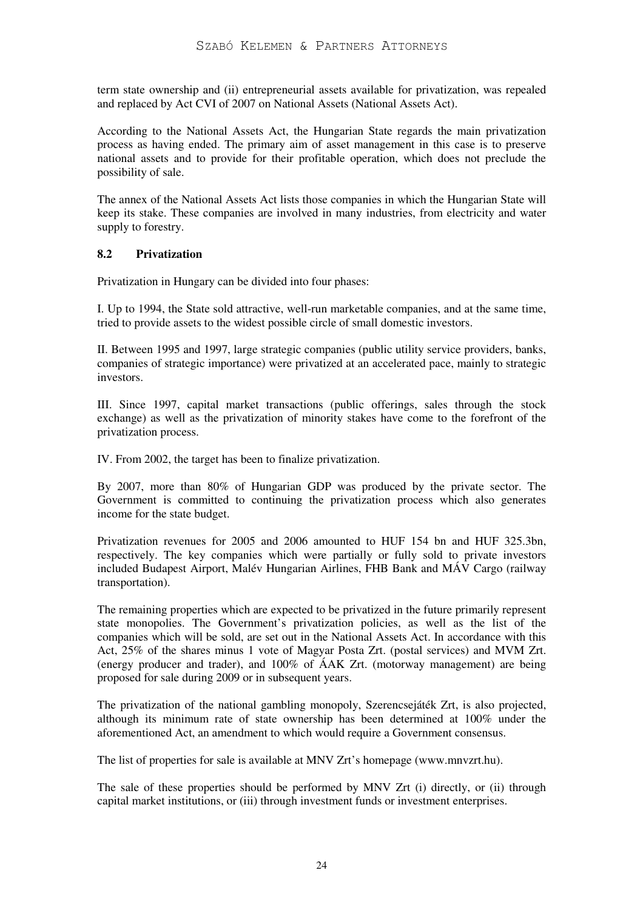term state ownership and (ii) entrepreneurial assets available for privatization, was repealed and replaced by Act CVI of 2007 on National Assets (National Assets Act).

According to the National Assets Act, the Hungarian State regards the main privatization process as having ended. The primary aim of asset management in this case is to preserve national assets and to provide for their profitable operation, which does not preclude the possibility of sale.

The annex of the National Assets Act lists those companies in which the Hungarian State will keep its stake. These companies are involved in many industries, from electricity and water supply to forestry.

#### **8.2 Privatization**

Privatization in Hungary can be divided into four phases:

I. Up to 1994, the State sold attractive, well-run marketable companies, and at the same time, tried to provide assets to the widest possible circle of small domestic investors.

II. Between 1995 and 1997, large strategic companies (public utility service providers, banks, companies of strategic importance) were privatized at an accelerated pace, mainly to strategic investors.

III. Since 1997, capital market transactions (public offerings, sales through the stock exchange) as well as the privatization of minority stakes have come to the forefront of the privatization process.

IV. From 2002, the target has been to finalize privatization.

By 2007, more than 80% of Hungarian GDP was produced by the private sector. The Government is committed to continuing the privatization process which also generates income for the state budget.

Privatization revenues for 2005 and 2006 amounted to HUF 154 bn and HUF 325.3bn, respectively. The key companies which were partially or fully sold to private investors included Budapest Airport, Malév Hungarian Airlines, FHB Bank and MÁV Cargo (railway transportation).

The remaining properties which are expected to be privatized in the future primarily represent state monopolies. The Government's privatization policies, as well as the list of the companies which will be sold, are set out in the National Assets Act. In accordance with this Act, 25% of the shares minus 1 vote of Magyar Posta Zrt. (postal services) and MVM Zrt. (energy producer and trader), and 100% of ÁAK Zrt. (motorway management) are being proposed for sale during 2009 or in subsequent years.

The privatization of the national gambling monopoly, Szerencsejáték Zrt, is also projected, although its minimum rate of state ownership has been determined at 100% under the aforementioned Act, an amendment to which would require a Government consensus.

The list of properties for sale is available at MNV Zrt's homepage (www.mnvzrt.hu).

The sale of these properties should be performed by MNV Zrt (i) directly, or (ii) through capital market institutions, or (iii) through investment funds or investment enterprises.